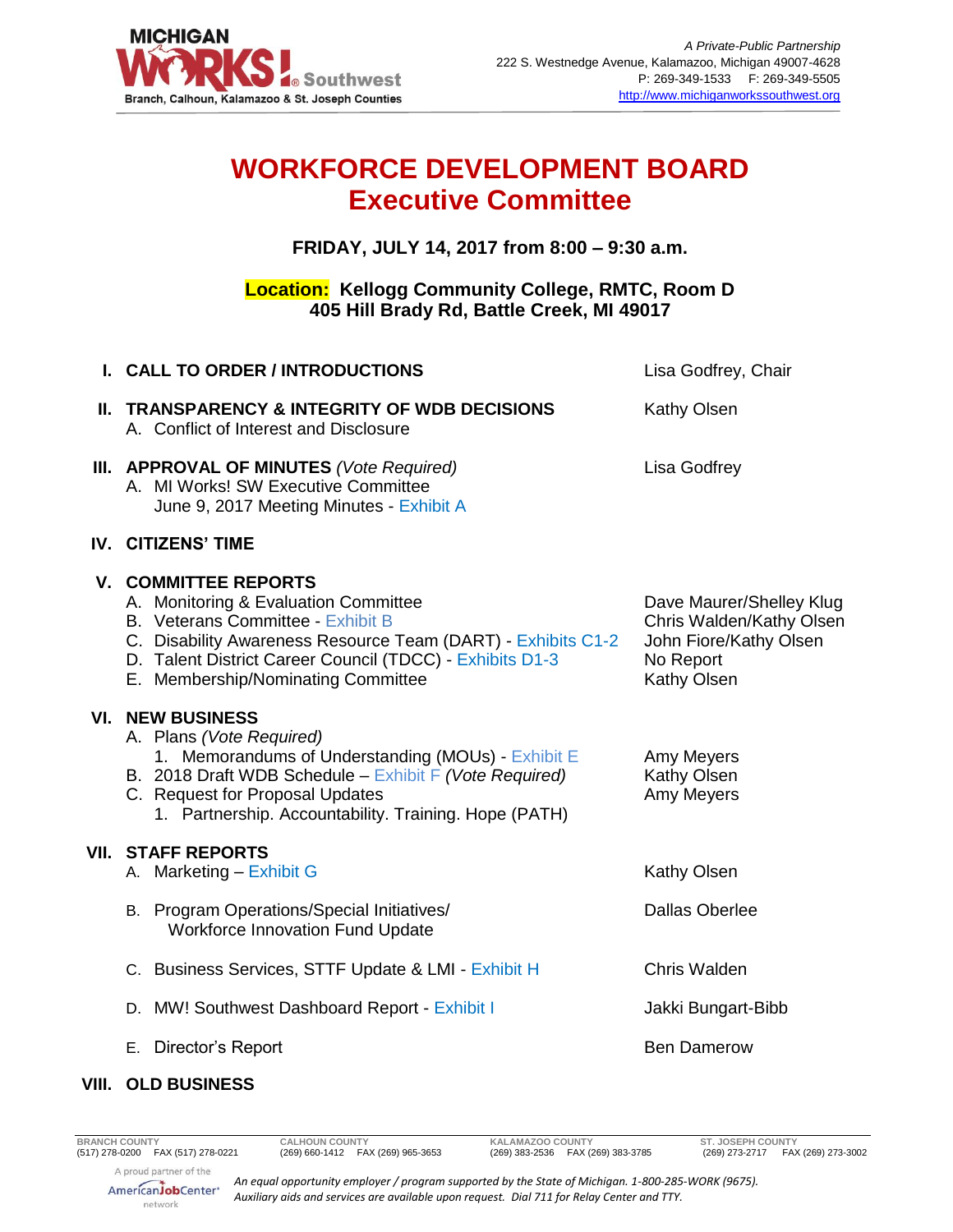

## **WORKFORCE DEVELOPMENT BOARD Executive Committee**

**FRIDAY, JULY 14, 2017 from 8:00 – 9:30 a.m.**

## **Location: Kellogg Community College, RMTC, Room D 405 Hill Brady Rd, Battle Creek, MI 49017**

| I. CALL TO ORDER / INTRODUCTIONS                                                                                                                                                                                                                                                  | Lisa Godfrey, Chair                                                                                        |
|-----------------------------------------------------------------------------------------------------------------------------------------------------------------------------------------------------------------------------------------------------------------------------------|------------------------------------------------------------------------------------------------------------|
| II. TRANSPARENCY & INTEGRITY OF WDB DECISIONS<br>A. Conflict of Interest and Disclosure                                                                                                                                                                                           | Kathy Olsen                                                                                                |
| III. APPROVAL OF MINUTES (Vote Required)<br>A. MI Works! SW Executive Committee<br>June 9, 2017 Meeting Minutes - Exhibit A                                                                                                                                                       | <b>Lisa Godfrey</b>                                                                                        |
| IV. CITIZENS' TIME                                                                                                                                                                                                                                                                |                                                                                                            |
| <b>V. COMMITTEE REPORTS</b><br>A. Monitoring & Evaluation Committee<br><b>B.</b> Veterans Committee - Exhibit B<br>C. Disability Awareness Resource Team (DART) - Exhibits C1-2<br>D. Talent District Career Council (TDCC) - Exhibits D1-3<br>E. Membership/Nominating Committee | Dave Maurer/Shelley Klug<br>Chris Walden/Kathy Olsen<br>John Fiore/Kathy Olsen<br>No Report<br>Kathy Olsen |
| <b>VI. NEW BUSINESS</b><br>A. Plans (Vote Required)<br>1. Memorandums of Understanding (MOUs) - Exhibit E<br>B. 2018 Draft WDB Schedule - Exhibit F (Vote Required)<br>C. Request for Proposal Updates<br>1. Partnership. Accountability. Training. Hope (PATH)                   | Amy Meyers<br>Kathy Olsen<br>Amy Meyers                                                                    |
| VII. STAFF REPORTS<br>A. Marketing - Exhibit G                                                                                                                                                                                                                                    | Kathy Olsen                                                                                                |
| B. Program Operations/Special Initiatives/<br><b>Workforce Innovation Fund Update</b>                                                                                                                                                                                             | <b>Dallas Oberlee</b>                                                                                      |
| C. Business Services, STTF Update & LMI - Exhibit H                                                                                                                                                                                                                               | Chris Walden                                                                                               |
| D. MW! Southwest Dashboard Report - Exhibit I                                                                                                                                                                                                                                     | Jakki Bungart-Bibb                                                                                         |
| E. Director's Report                                                                                                                                                                                                                                                              | <b>Ben Damerow</b>                                                                                         |

## **VIII. OLD BUSINESS**

*An equal opportunity employer / program supported by the State of Michigan. 1-800-285-WORK (9675). Auxiliary aids and services are available upon request. Dial 711 for Relay Center and TTY.*